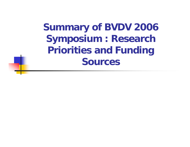**Summary of BVDV 2006 Symposium : Research Priorities and Funding Sources**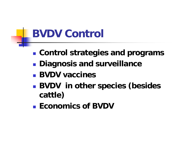#### **BVDV Control**

- **Service Service Control strategies and programs**
- **Diagnosis and surveillance**
- **BVDV vaccines**
- **Service Service BVDV in other species (besides cattle)**
- Economics of BVDV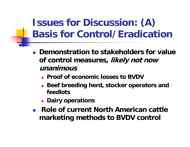#### **Issues for Discussion: (A) Basis for Control/Eradication**

- $\| \cdot \|$  **Demonstration to stakeholders for value of control measures, likely not now unanimous**
	- **Proof of economic losses to BVDV**
	- **Beef breeding herd, stocker operators and feedlots**
	- **E** Dairy operations
- $\mathbb{R}^n$  **Role of current North American cattle marketing methods to BVDV control**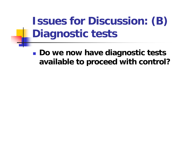# **Issues for Discussion: (B) Diagnostic tests**

**Service Service** ■ Do we now have diagnostic tests **available to proceed with control?**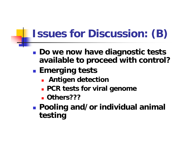## **Issues for Discussion: (B)**

- **Do we now have diagnostic tests available to proceed with control?**
- **Emerging tests**
	- **Antigen detection**
	- **PCR tests for viral genome**
	- **Others???**
- **Pooling and/or individual animal testing**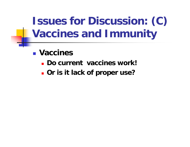# **Issues for Discussion: (C) Vaccines and Immunity**

- **Vaccines** 
	- **Do current vaccines work!**
	- **Or is it lack of proper use?**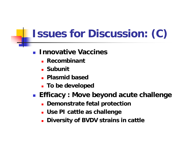## **Issues for Discussion: (C)**

#### $\mathcal{L}^{\text{max}}$ **Innovative Vaccines**

- **Recombinant**
- **\_ Subunit**
- **Plasmid based**
- **To be developed**

**Efficacy : Move beyond acute challenge**

- **Demonstrate fetal protection**
- **Use PI cattle as challenge**
- **Diversity of BVDV strains in cattle**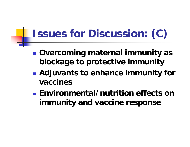## **Issues for Discussion: (C)**

- **Service Service Overcoming maternal immunity as blockage to protective immunity**
- **Service Service Adjuvants to enhance immunity for vaccines**
- **Environmental/nutrition effects on immunity and vaccine response**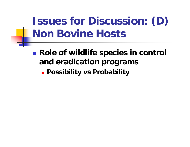## **Issues for Discussion: (D) Non Bovine Hosts**

**Service Service Role of wildlife species in control and eradication programs**

**Possibility vs Probability**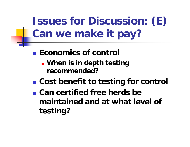**Issues for Discussion: (E) Can we make it pay?**

- **Economics of control** 
	- **When is in depth testing recommended?**
- **Service Service Cost benefit to testing for control**
- **Can certified free herds be maintained and at what level of testing?**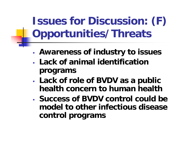**Issues for Discussion: (F) Opportunities/Threats**

- **Awareness of industry to issues**
- **Lack of animal identification programs**
- **Lack of role of BVDV as a public health concern to human health**
- **Success of BVDV control could be model to other infectious disease control programs**